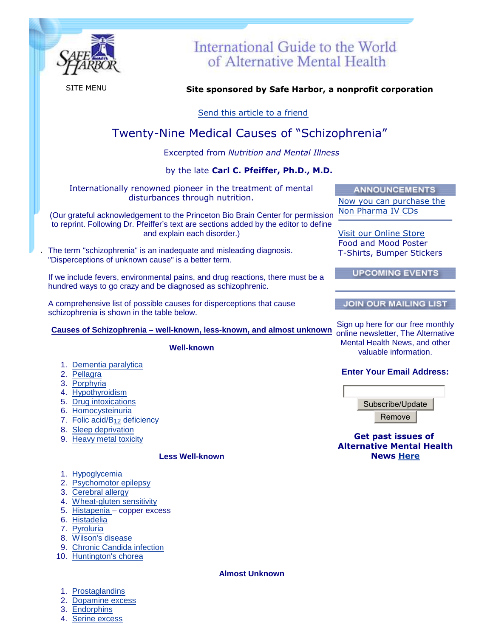

# International Guide to the World of Alternative Mental Health

## SITE MENU Site sponsored by Safe Harbor, a nonprofit corporation

#### Send this article to a friend

## Twenty-Nine Medical Causes of "Schizophrenia"

#### Excerpted from Nutrition and Mental Illness

#### by the late Carl C. Pfeiffer, Ph.D., M.D.

Internationally renowned pioneer in the treatment of mental disturbances through nutrition.

(Our grateful acknowledgement to the Princeton Bio Brain Center for permission to reprint. Following Dr. Pfeiffer's text are sections added by the editor to define and explain each disorder.)

The term "schizophrenia" is an inadequate and misleading diagnosis. "Disperceptions of unknown cause" is a better term.

If we include fevers, environmental pains, and drug reactions, there must be a hundred ways to go crazy and be diagnosed as schizophrenic.

A comprehensive list of possible causes for disperceptions that cause schizophrenia is shown in the table below.

**Causes of Schizophrenia – well-known, less-known, and almost unknown**

**Well-known**

- 1. Dementia paralytica
- 2. Pellagra

.

- 3. Porphyria
- 4. Hypothyroidism
- 5. Drug intoxications
- 6. Homocysteinuria
- 7. Folic acid/B12 deficiency
- 8. Sleep deprivation
- 9. Heavy metal toxicity

#### **Less Well-known**

- 1. Hypoglycemia
- 2. Psychomotor epilepsy
- 3. Cerebral allergy
- 4. Wheat-gluten sensitivity
- 5. Histapenia copper excess
- 6. Histadelia
- 7. Pyroluria
- 8. Wilson's disease
- 9. Chronic Candida infection
- 10. Huntington's chorea

**Almost Unknown**

1. Prostaglandins

2. Dopamine excess

3. Endorphins

4. Serine excess

**ANNOUNCEMENTS** Now you can purchase the Non Pharma IV CDs

Visit our Online Store Food and Mood Poster T-Shirts, Bumper Stickers

**UPCOMING EVENTS** 

**JOIN OUR MAILING LIST** 

Sign up here for our free monthly online newsletter, The Alternative Mental Health News, and other valuable information.

#### **Enter Your Email Address:**



Get past issues of Alternative Mental Health News Here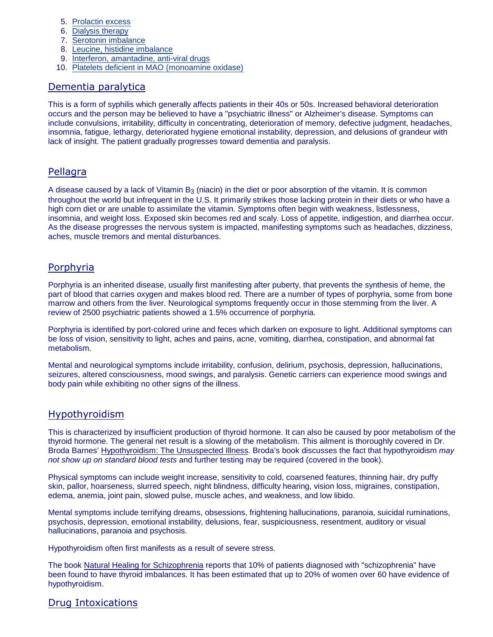- 5. Prolactin excess
- 6. Dialysis therapy
- 7. Serotonin imbalance
- 8. Leucine, histidine imbalance
- 9. Interferon, amantadine, anti-viral drugs
- 10. Platelets deficient in MAO (monoamine oxidase)

## Dementia paralytica

This is a form of syphilis which generally affects patients in their 40s or 50s. Increased behavioral deterioration occurs and the person may be believed to have a "psychiatric illness" or Alzheimer's disease. Symptoms can include convulsions, irritability, difficulty in concentrating, deterioration of memory, defective judgment, headaches, insomnia, fatigue, lethargy, deteriorated hygiene emotional instability, depression, and delusions of grandeur with lack of insight. The patient gradually progresses toward dementia and paralysis.

## Pellagra

A disease caused by a lack of Vitamin B3 (niacin) in the diet or poor absorption of the vitamin. It is common throughout the world but infrequent in the U.S. It primarily strikes those lacking protein in their diets or who have a high corn diet or are unable to assimilate the vitamin. Symptoms often begin with weakness, listlessness, insomnia, and weight loss. Exposed skin becomes red and scaly. Loss of appetite, indigestion, and diarrhea occur. As the disease progresses the nervous system is impacted, manifesting symptoms such as headaches, dizziness, aches, muscle tremors and mental disturbances.

## Porphyria

Porphyria is an inherited disease, usually first manifesting after puberty, that prevents the synthesis of heme, the part of blood that carries oxygen and makes blood red. There are a number of types of porphyria, some from bone marrow and others from the liver. Neurological symptoms frequently occur in those stemming from the liver. A review of 2500 psychiatric patients showed a 1.5% occurrence of porphyria.

Porphyria is identified by port-colored urine and feces which darken on exposure to light. Additional symptoms can be loss of vision, sensitivity to light, aches and pains, acne, vomiting, diarrhea, constipation, and abnormal fat metabolism.

Mental and neurological symptoms include irritability, confusion, delirium, psychosis, depression, hallucinations, seizures, altered consciousness, mood swings, and paralysis. Genetic carriers can experience mood swings and body pain while exhibiting no other signs of the illness.

## **Hypothyroidism**

This is characterized by insufficient production of thyroid hormone. It can also be caused by poor metabolism of the thyroid hormone. The general net result is a slowing of the metabolism. This ailment is thoroughly covered in Dr. Broda Barnes' Hypothyroidism: The Unsuspected Illness. Broda's book discusses the fact that hypothyroidism may not show up on standard blood tests and further testing may be required (covered in the book).

Physical symptoms can include weight increase, sensitivity to cold, coarsened features, thinning hair, dry puffy skin, pallor, hoarseness, slurred speech, night blindness, difficulty hearing, vision loss, migraines, constipation, edema, anemia, joint pain, slowed pulse, muscle aches, and weakness, and low libido.

Mental symptoms include terrifying dreams, obsessions, frightening hallucinations, paranoia, suicidal ruminations, psychosis, depression, emotional instability, delusions, fear, suspiciousness, resentment, auditory or visual hallucinations, paranoia and psychosis.

Hypothyroidism often first manifests as a result of severe stress.

The book Natural Healing for Schizophrenia reports that 10% of patients diagnosed with "schizophrenia" have been found to have thyroid imbalances. It has been estimated that up to 20% of women over 60 have evidence of hypothyroidism.

## Drug Intoxications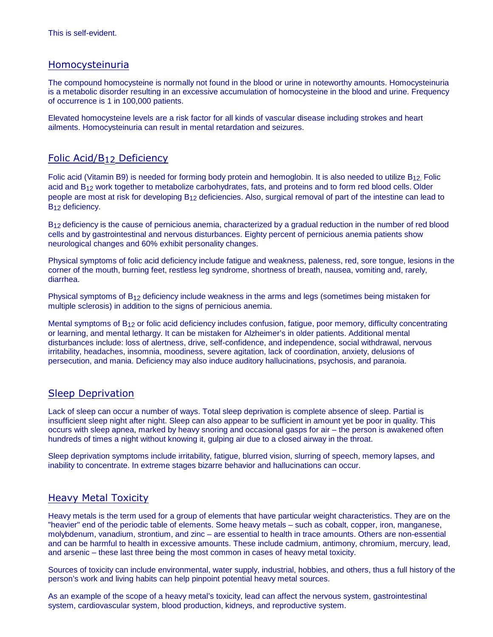## Homocysteinuria

The compound homocysteine is normally not found in the blood or urine in noteworthy amounts. Homocysteinuria is a metabolic disorder resulting in an excessive accumulation of homocysteine in the blood and urine. Frequency of occurrence is 1 in 100,000 patients.

Elevated homocysteine levels are a risk factor for all kinds of vascular disease including strokes and heart ailments. Homocysteinuria can result in mental retardation and seizures.

## Folic Acid/B12 Deficiency

Folic acid (Vitamin B9) is needed for forming body protein and hemoglobin. It is also needed to utilize B<sub>12</sub>. Folic acid and B12 work together to metabolize carbohydrates, fats, and proteins and to form red blood cells. Older people are most at risk for developing B12 deficiencies. Also, surgical removal of part of the intestine can lead to B<sub>12</sub> deficiency.

B<sub>12</sub> deficiency is the cause of pernicious anemia, characterized by a gradual reduction in the number of red blood cells and by gastrointestinal and nervous disturbances. Eighty percent of pernicious anemia patients show neurological changes and 60% exhibit personality changes.

Physical symptoms of folic acid deficiency include fatigue and weakness, paleness, red, sore tongue, lesions in the corner of the mouth, burning feet, restless leg syndrome, shortness of breath, nausea, vomiting and, rarely, diarrhea.

Physical symptoms of  $B_{12}$  deficiency include weakness in the arms and legs (sometimes being mistaken for multiple sclerosis) in addition to the signs of pernicious anemia.

Mental symptoms of B12 or folic acid deficiency includes confusion, fatigue, poor memory, difficulty concentrating or learning, and mental lethargy. It can be mistaken for Alzheimer's in older patients. Additional mental disturbances include: loss of alertness, drive, self-confidence, and independence, social withdrawal, nervous irritability, headaches, insomnia, moodiness, severe agitation, lack of coordination, anxiety, delusions of persecution, and mania. Deficiency may also induce auditory hallucinations, psychosis, and paranoia.

## Sleep Deprivation

Lack of sleep can occur a number of ways. Total sleep deprivation is complete absence of sleep. Partial is insufficient sleep night after night. Sleep can also appear to be sufficient in amount yet be poor in quality. This occurs with sleep apnea, marked by heavy snoring and occasional gasps for air – the person is awakened often hundreds of times a night without knowing it, gulping air due to a closed airway in the throat.

Sleep deprivation symptoms include irritability, fatigue, blurred vision, slurring of speech, memory lapses, and inability to concentrate. In extreme stages bizarre behavior and hallucinations can occur.

## Heavy Metal Toxicity

Heavy metals is the term used for a group of elements that have particular weight characteristics. They are on the "heavier" end of the periodic table of elements. Some heavy metals – such as cobalt, copper, iron, manganese, molybdenum, vanadium, strontium, and zinc – are essential to health in trace amounts. Others are non-essential and can be harmful to health in excessive amounts. These include cadmium, antimony, chromium, mercury, lead, and arsenic – these last three being the most common in cases of heavy metal toxicity.

Sources of toxicity can include environmental, water supply, industrial, hobbies, and others, thus a full history of the person's work and living habits can help pinpoint potential heavy metal sources.

As an example of the scope of a heavy metal's toxicity, lead can affect the nervous system, gastrointestinal system, cardiovascular system, blood production, kidneys, and reproductive system.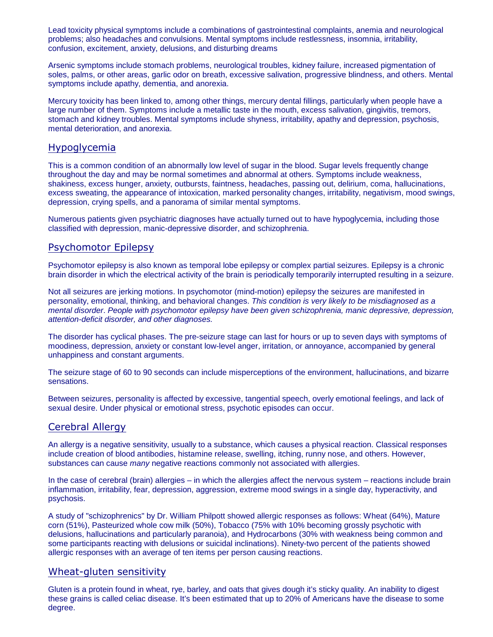Lead toxicity physical symptoms include a combinations of gastrointestinal complaints, anemia and neurological problems; also headaches and convulsions. Mental symptoms include restlessness, insomnia, irritability, confusion, excitement, anxiety, delusions, and disturbing dreams

Arsenic symptoms include stomach problems, neurological troubles, kidney failure, increased pigmentation of soles, palms, or other areas, garlic odor on breath, excessive salivation, progressive blindness, and others. Mental symptoms include apathy, dementia, and anorexia.

Mercury toxicity has been linked to, among other things, mercury dental fillings, particularly when people have a large number of them. Symptoms include a metallic taste in the mouth, excess salivation, gingivitis, tremors, stomach and kidney troubles. Mental symptoms include shyness, irritability, apathy and depression, psychosis, mental deterioration, and anorexia.

#### Hypoglycemia

This is a common condition of an abnormally low level of sugar in the blood. Sugar levels frequently change throughout the day and may be normal sometimes and abnormal at others. Symptoms include weakness, shakiness, excess hunger, anxiety, outbursts, faintness, headaches, passing out, delirium, coma, hallucinations, excess sweating, the appearance of intoxication, marked personality changes, irritability, negativism, mood swings, depression, crying spells, and a panorama of similar mental symptoms.

Numerous patients given psychiatric diagnoses have actually turned out to have hypoglycemia, including those classified with depression, manic-depressive disorder, and schizophrenia.

#### Psychomotor Epilepsy

Psychomotor epilepsy is also known as temporal lobe epilepsy or complex partial seizures. Epilepsy is a chronic brain disorder in which the electrical activity of the brain is periodically temporarily interrupted resulting in a seizure.

Not all seizures are jerking motions. In psychomotor (mind-motion) epilepsy the seizures are manifested in personality, emotional, thinking, and behavioral changes. This condition is very likely to be misdiagnosed as a mental disorder. People with psychomotor epilepsy have been given schizophrenia, manic depressive, depression, attention-deficit disorder, and other diagnoses.

The disorder has cyclical phases. The pre-seizure stage can last for hours or up to seven days with symptoms of moodiness, depression, anxiety or constant low-level anger, irritation, or annoyance, accompanied by general unhappiness and constant arguments.

The seizure stage of 60 to 90 seconds can include misperceptions of the environment, hallucinations, and bizarre sensations.

Between seizures, personality is affected by excessive, tangential speech, overly emotional feelings, and lack of sexual desire. Under physical or emotional stress, psychotic episodes can occur.

#### Cerebral Allergy

An allergy is a negative sensitivity, usually to a substance, which causes a physical reaction. Classical responses include creation of blood antibodies, histamine release, swelling, itching, runny nose, and others. However, substances can cause *many* negative reactions commonly not associated with allergies.

In the case of cerebral (brain) allergies – in which the allergies affect the nervous system – reactions include brain inflammation, irritability, fear, depression, aggression, extreme mood swings in a single day, hyperactivity, and psychosis.

A study of "schizophrenics" by Dr. William Philpott showed allergic responses as follows: Wheat (64%), Mature corn (51%), Pasteurized whole cow milk (50%), Tobacco (75% with 10% becoming grossly psychotic with delusions, hallucinations and particularly paranoia), and Hydrocarbons (30% with weakness being common and some participants reacting with delusions or suicidal inclinations). Ninety-two percent of the patients showed allergic responses with an average of ten items per person causing reactions.

#### Wheat-gluten sensitivity

Gluten is a protein found in wheat, rye, barley, and oats that gives dough it's sticky quality. An inability to digest these grains is called celiac disease. It's been estimated that up to 20% of Americans have the disease to some degree.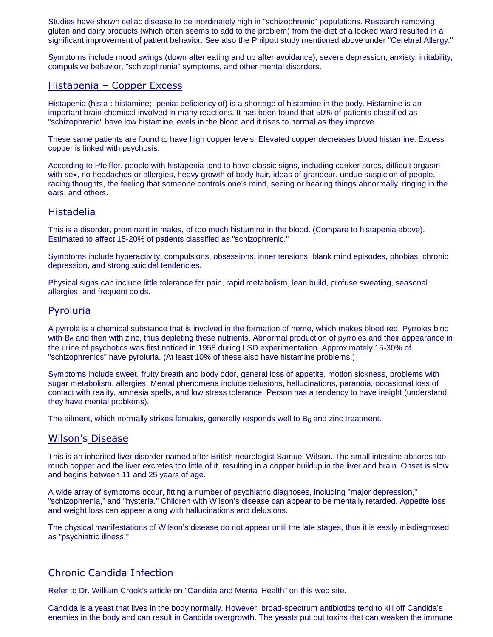Studies have shown celiac disease to be inordinately high in "schizophrenic" populations. Research removing gluten and dairy products (which often seems to add to the problem) from the diet of a locked ward resulted in a significant improvement of patient behavior. See also the Philpott study mentioned above under "Cerebral Allergy."

Symptoms include mood swings (down after eating and up after avoidance), severe depression, anxiety, irritability, compulsive behavior, "schizophrenia" symptoms, and other mental disorders.

#### Histapenia – Copper Excess

Histapenia (hista-: histamine; -penia: deficiency of) is a shortage of histamine in the body. Histamine is an important brain chemical involved in many reactions. It has been found that 50% of patients classified as "schizophrenic" have low histamine levels in the blood and it rises to normal as they improve.

These same patients are found to have high copper levels. Elevated copper decreases blood histamine. Excess copper is linked with psychosis.

According to Pfeiffer, people with histapenia tend to have classic signs, including canker sores, difficult orgasm with sex, no headaches or allergies, heavy growth of body hair, ideas of grandeur, undue suspicion of people, racing thoughts, the feeling that someone controls one's mind, seeing or hearing things abnormally, ringing in the ears, and others.

#### Histadelia

This is a disorder, prominent in males, of too much histamine in the blood. (Compare to histapenia above). Estimated to affect 15-20% of patients classified as "schizophrenic."

Symptoms include hyperactivity, compulsions, obsessions, inner tensions, blank mind episodes, phobias, chronic depression, and strong suicidal tendencies.

Physical signs can include little tolerance for pain, rapid metabolism, lean build, profuse sweating, seasonal allergies, and frequent colds.

#### Pyroluria

A pyrrole is a chemical substance that is involved in the formation of heme, which makes blood red. Pyrroles bind with B<sub>6</sub> and then with zinc, thus depleting these nutrients. Abnormal production of pyrroles and their appearance in the urine of psychotics was first noticed in 1958 during LSD experimentation. Approximately 15-30% of "schizophrenics" have pyroluria. (At least 10% of these also have histamine problems.)

Symptoms include sweet, fruity breath and body odor, general loss of appetite, motion sickness, problems with sugar metabolism, allergies. Mental phenomena include delusions, hallucinations, paranoia, occasional loss of contact with reality, amnesia spells, and low stress tolerance. Person has a tendency to have insight (understand they have mental problems).

The ailment, which normally strikes females, generally responds well to  $B_6$  and zinc treatment.

#### Wilson's Disease

This is an inherited liver disorder named after British neurologist Samuel Wilson. The small intestine absorbs too much copper and the liver excretes too little of it, resulting in a copper buildup in the liver and brain. Onset is slow and begins between 11 and 25 years of age.

A wide array of symptoms occur, fitting a number of psychiatric diagnoses, including "major depression," "schizophrenia," and "hysteria." Children with Wilson's disease can appear to be mentally retarded. Appetite loss and weight loss can appear along with hallucinations and delusions.

The physical manifestations of Wilson's disease do not appear until the late stages, thus it is easily misdiagnosed as "psychiatric illness."

#### Chronic Candida Infection

Refer to Dr. William Crook's article on "Candida and Mental Health" on this web site.

Candida is a yeast that lives in the body normally. However, broad-spectrum antibiotics tend to kill off Candida's enemies in the body and can result in Candida overgrowth. The yeasts put out toxins that can weaken the immune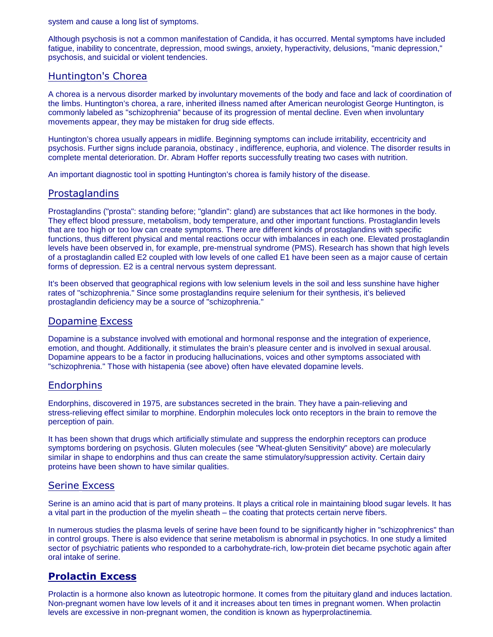system and cause a long list of symptoms.

Although psychosis is not a common manifestation of Candida, it has occurred. Mental symptoms have included fatigue, inability to concentrate, depression, mood swings, anxiety, hyperactivity, delusions, "manic depression," psychosis, and suicidal or violent tendencies.

## Huntington's Chorea

A chorea is a nervous disorder marked by involuntary movements of the body and face and lack of coordination of the limbs. Huntington's chorea, a rare, inherited illness named after American neurologist George Huntington, is commonly labeled as "schizophrenia" because of its progression of mental decline. Even when involuntary movements appear, they may be mistaken for drug side effects.

Huntington's chorea usually appears in midlife. Beginning symptoms can include irritability, eccentricity and psychosis. Further signs include paranoia, obstinacy , indifference, euphoria, and violence. The disorder results in complete mental deterioration. Dr. Abram Hoffer reports successfully treating two cases with nutrition.

An important diagnostic tool in spotting Huntington's chorea is family history of the disease.

#### Prostaglandins

Prostaglandins ("prosta": standing before; "glandin": gland) are substances that act like hormones in the body. They effect blood pressure, metabolism, body temperature, and other important functions. Prostaglandin levels that are too high or too low can create symptoms. There are different kinds of prostaglandins with specific functions, thus different physical and mental reactions occur with imbalances in each one. Elevated prostaglandin levels have been observed in, for example, pre-menstrual syndrome (PMS). Research has shown that high levels of a prostaglandin called E2 coupled with low levels of one called E1 have been seen as a major cause of certain forms of depression. E2 is a central nervous system depressant.

It's been observed that geographical regions with low selenium levels in the soil and less sunshine have higher rates of "schizophrenia." Since some prostaglandins require selenium for their synthesis, it's believed prostaglandin deficiency may be a source of "schizophrenia."

#### Dopamine Excess

Dopamine is a substance involved with emotional and hormonal response and the integration of experience, emotion, and thought. Additionally, it stimulates the brain's pleasure center and is involved in sexual arousal. Dopamine appears to be a factor in producing hallucinations, voices and other symptoms associated with "schizophrenia." Those with histapenia (see above) often have elevated dopamine levels.

#### Endorphins

Endorphins, discovered in 1975, are substances secreted in the brain. They have a pain-relieving and stress-relieving effect similar to morphine. Endorphin molecules lock onto receptors in the brain to remove the perception of pain.

It has been shown that drugs which artificially stimulate and suppress the endorphin receptors can produce symptoms bordering on psychosis. Gluten molecules (see "Wheat-gluten Sensitivity" above) are molecularly similar in shape to endorphins and thus can create the same stimulatory/suppression activity. Certain dairy proteins have been shown to have similar qualities.

#### Serine Excess

Serine is an amino acid that is part of many proteins. It plays a critical role in maintaining blood sugar levels. It has a vital part in the production of the myelin sheath – the coating that protects certain nerve fibers.

In numerous studies the plasma levels of serine have been found to be significantly higher in "schizophrenics" than in control groups. There is also evidence that serine metabolism is abnormal in psychotics. In one study a limited sector of psychiatric patients who responded to a carbohydrate-rich, low-protein diet became psychotic again after oral intake of serine.

## Prolactin Excess

Prolactin is a hormone also known as luteotropic hormone. It comes from the pituitary gland and induces lactation. Non-pregnant women have low levels of it and it increases about ten times in pregnant women. When prolactin levels are excessive in non-pregnant women, the condition is known as hyperprolactinemia.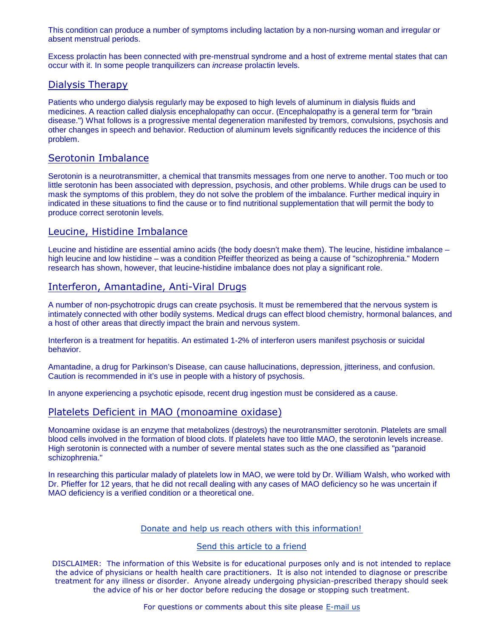This condition can produce a number of symptoms including lactation by a non-nursing woman and irregular or absent menstrual periods.

Excess prolactin has been connected with pre-menstrual syndrome and a host of extreme mental states that can occur with it. In some people tranquilizers can increase prolactin levels.

#### Dialysis Therapy

Patients who undergo dialysis regularly may be exposed to high levels of aluminum in dialysis fluids and medicines. A reaction called dialysis encephalopathy can occur. (Encephalopathy is a general term for "brain disease.") What follows is a progressive mental degeneration manifested by tremors, convulsions, psychosis and other changes in speech and behavior. Reduction of aluminum levels significantly reduces the incidence of this problem.

#### Serotonin Imbalance

Serotonin is a neurotransmitter, a chemical that transmits messages from one nerve to another. Too much or too little serotonin has been associated with depression, psychosis, and other problems. While drugs can be used to mask the symptoms of this problem, they do not solve the problem of the imbalance. Further medical inquiry in indicated in these situations to find the cause or to find nutritional supplementation that will permit the body to produce correct serotonin levels.

#### Leucine, Histidine Imbalance

Leucine and histidine are essential amino acids (the body doesn't make them). The leucine, histidine imbalance – high leucine and low histidine – was a condition Pfeiffer theorized as being a cause of "schizophrenia." Modern research has shown, however, that leucine-histidine imbalance does not play a significant role.

## Interferon, Amantadine, Anti-Viral Drugs

A number of non-psychotropic drugs can create psychosis. It must be remembered that the nervous system is intimately connected with other bodily systems. Medical drugs can effect blood chemistry, hormonal balances, and a host of other areas that directly impact the brain and nervous system.

Interferon is a treatment for hepatitis. An estimated 1-2% of interferon users manifest psychosis or suicidal behavior.

Amantadine, a drug for Parkinson's Disease, can cause hallucinations, depression, jitteriness, and confusion. Caution is recommended in it's use in people with a history of psychosis.

In anyone experiencing a psychotic episode, recent drug ingestion must be considered as a cause.

#### Platelets Deficient in MAO (monoamine oxidase)

Monoamine oxidase is an enzyme that metabolizes (destroys) the neurotransmitter serotonin. Platelets are small blood cells involved in the formation of blood clots. If platelets have too little MAO, the serotonin levels increase. High serotonin is connected with a number of severe mental states such as the one classified as "paranoid schizophrenia."

In researching this particular malady of platelets low in MAO, we were told by Dr. William Walsh, who worked with Dr. Pfieffer for 12 years, that he did not recall dealing with any cases of MAO deficiency so he was uncertain if MAO deficiency is a verified condition or a theoretical one.

#### Donate and help us reach others with this information!

#### Send this article to a friend

DISCLAIMER: The information of this Website is for educational purposes only and is not intended to replace the advice of physicians or health health care practitioners. It is also not intended to diagnose or prescribe treatment for any illness or disorder. Anyone already undergoing physician-prescribed therapy should seek the advice of his or her doctor before reducing the dosage or stopping such treatment.